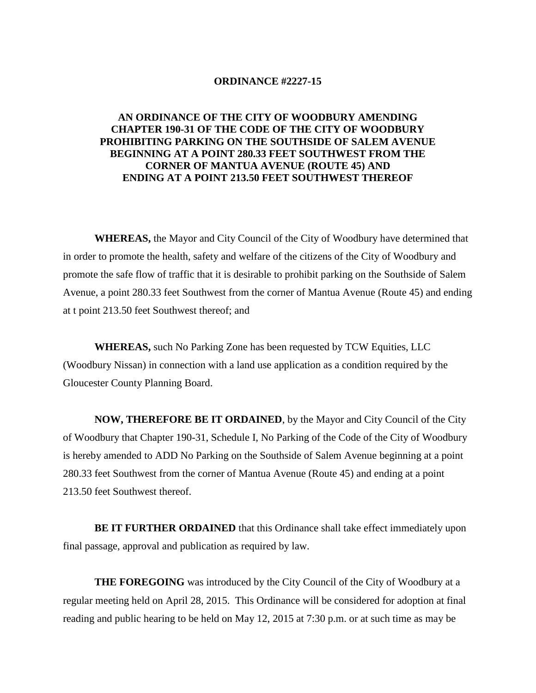## **ORDINANCE #2227-15**

## **AN ORDINANCE OF THE CITY OF WOODBURY AMENDING CHAPTER 190-31 OF THE CODE OF THE CITY OF WOODBURY PROHIBITING PARKING ON THE SOUTHSIDE OF SALEM AVENUE BEGINNING AT A POINT 280.33 FEET SOUTHWEST FROM THE CORNER OF MANTUA AVENUE (ROUTE 45) AND ENDING AT A POINT 213.50 FEET SOUTHWEST THEREOF**

**WHEREAS,** the Mayor and City Council of the City of Woodbury have determined that in order to promote the health, safety and welfare of the citizens of the City of Woodbury and promote the safe flow of traffic that it is desirable to prohibit parking on the Southside of Salem Avenue, a point 280.33 feet Southwest from the corner of Mantua Avenue (Route 45) and ending at t point 213.50 feet Southwest thereof; and

**WHEREAS,** such No Parking Zone has been requested by TCW Equities, LLC (Woodbury Nissan) in connection with a land use application as a condition required by the Gloucester County Planning Board.

**NOW, THEREFORE BE IT ORDAINED**, by the Mayor and City Council of the City of Woodbury that Chapter 190-31, Schedule I, No Parking of the Code of the City of Woodbury is hereby amended to ADD No Parking on the Southside of Salem Avenue beginning at a point 280.33 feet Southwest from the corner of Mantua Avenue (Route 45) and ending at a point 213.50 feet Southwest thereof.

**BE IT FURTHER ORDAINED** that this Ordinance shall take effect immediately upon final passage, approval and publication as required by law.

**THE FOREGOING** was introduced by the City Council of the City of Woodbury at a regular meeting held on April 28, 2015. This Ordinance will be considered for adoption at final reading and public hearing to be held on May 12, 2015 at 7:30 p.m. or at such time as may be